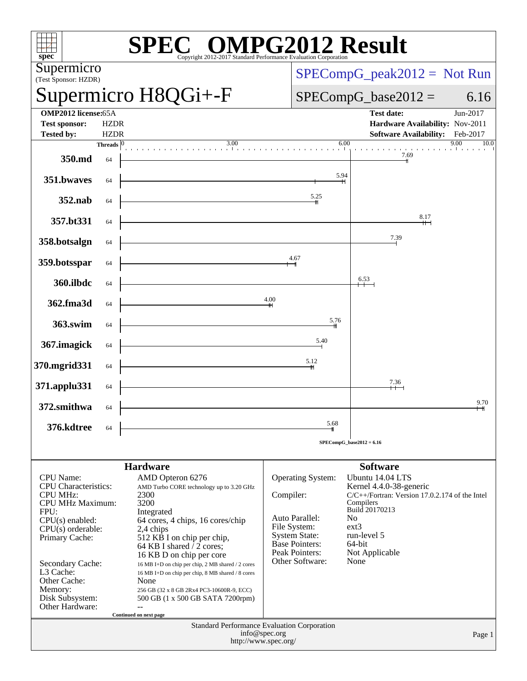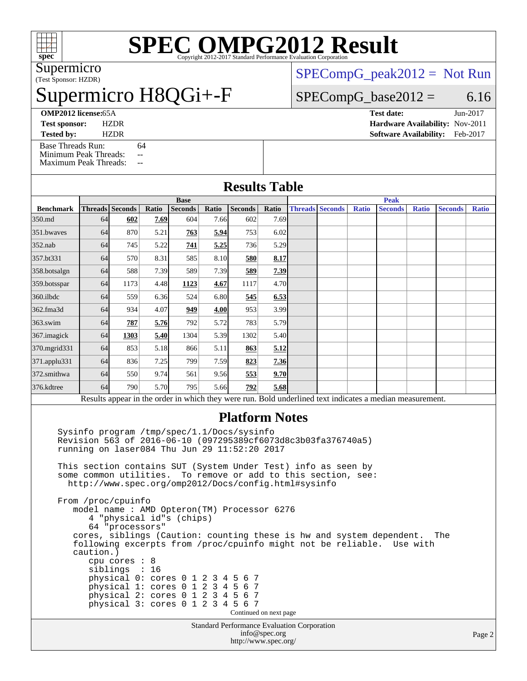

# **[SPEC OMPG2012 Result](http://www.spec.org/auto/omp2012/Docs/result-fields.html#SPECOMPG2012Result)**

(Test Sponsor: HZDR) Supermicro

### permicro H8QGi+-F

[SPECompG\\_peak2012 =](http://www.spec.org/auto/omp2012/Docs/result-fields.html#SPECompGpeak2012) Not Run

#### $SPECompG_base2012 = 6.16$  $SPECompG_base2012 = 6.16$

**[Tested by:](http://www.spec.org/auto/omp2012/Docs/result-fields.html#Testedby)** HZDR **[Software Availability:](http://www.spec.org/auto/omp2012/Docs/result-fields.html#SoftwareAvailability)** Feb-2017 [Base Threads Run:](http://www.spec.org/auto/omp2012/Docs/result-fields.html#BaseThreadsRun) 64

[Minimum Peak Threads:](http://www.spec.org/auto/omp2012/Docs/result-fields.html#MinimumPeakThreads) --[Maximum Peak Threads:](http://www.spec.org/auto/omp2012/Docs/result-fields.html#MaximumPeakThreads) --

**[OMP2012 license:](http://www.spec.org/auto/omp2012/Docs/result-fields.html#OMP2012license)**65A **[Test date:](http://www.spec.org/auto/omp2012/Docs/result-fields.html#Testdate)** Jun-2017 **[Test sponsor:](http://www.spec.org/auto/omp2012/Docs/result-fields.html#Testsponsor)** HZDR **[Hardware Availability:](http://www.spec.org/auto/omp2012/Docs/result-fields.html#HardwareAvailability)** Nov-2011

#### **[Results Table](http://www.spec.org/auto/omp2012/Docs/result-fields.html#ResultsTable)**

|                  | <b>Base</b> |                 |       |                |       |                |       | <b>Peak</b> |                        |              |                                                                                                          |              |                |              |
|------------------|-------------|-----------------|-------|----------------|-------|----------------|-------|-------------|------------------------|--------------|----------------------------------------------------------------------------------------------------------|--------------|----------------|--------------|
| <b>Benchmark</b> |             | Threads Seconds | Ratio | <b>Seconds</b> | Ratio | <b>Seconds</b> | Ratio |             | <b>Threads Seconds</b> | <b>Ratio</b> | <b>Seconds</b>                                                                                           | <b>Ratio</b> | <b>Seconds</b> | <b>Ratio</b> |
| 350.md           | 64          | 602             | 7.69  | 604            | 7.66  | 602            | 7.69  |             |                        |              |                                                                                                          |              |                |              |
| 351.bwayes       | 64          | 870             | 5.21  | <b>763</b>     | 5.94  | 753            | 6.02  |             |                        |              |                                                                                                          |              |                |              |
| $352$ .nab       | 64          | 745             | 5.22  | 741            | 5.25  | 736            | 5.29  |             |                        |              |                                                                                                          |              |                |              |
| 357.bt331        | 64          | 570             | 8.31  | 585            | 8.10  | 580            | 8.17  |             |                        |              |                                                                                                          |              |                |              |
| 358.botsalgn     | 64          | 588             | 7.39  | 589            | 7.39  | 589            | 7.39  |             |                        |              |                                                                                                          |              |                |              |
| 359.botsspar     | 64          | 1173            | 4.48  | 1123           | 4.67  | 1117           | 4.70  |             |                        |              |                                                                                                          |              |                |              |
| $360$ .ilbdc     | 64          | 559             | 6.36  | 524            | 6.80  | 545            | 6.53  |             |                        |              |                                                                                                          |              |                |              |
| 362.fma3d        | 64          | 934             | 4.07  | 949            | 4.00  | 953            | 3.99  |             |                        |              |                                                                                                          |              |                |              |
| $363$ .swim      | 64          | $\frac{787}{2}$ | 5.76  | 792            | 5.72  | 783            | 5.79  |             |                        |              |                                                                                                          |              |                |              |
| 367. imagick     | 64          | 1303            | 5.40  | 1304           | 5.39  | 1302           | 5.40  |             |                        |              |                                                                                                          |              |                |              |
| 370.mgrid331     | 64          | 853             | 5.18  | 866            | 5.11  | 863            | 5.12  |             |                        |              |                                                                                                          |              |                |              |
| 371.applu331     | 64          | 836             | 7.25  | 799            | 7.59  | 823            | 7.36  |             |                        |              |                                                                                                          |              |                |              |
| 372.smithwa      | 64          | 550             | 9.74  | 561            | 9.56  | 553            | 9.70  |             |                        |              |                                                                                                          |              |                |              |
| 376.kdtree       | 64          | 790             | 5.70  | 795            | 5.66  | 792            | 5.68  |             |                        |              |                                                                                                          |              |                |              |
|                  |             |                 |       |                |       |                |       |             |                        |              | Results appear in the order in which they were run. Bold underlined text indicates a median measurement. |              |                |              |

#### **[Platform Notes](http://www.spec.org/auto/omp2012/Docs/result-fields.html#PlatformNotes)**

 Sysinfo program /tmp/spec/1.1/Docs/sysinfo Revision 563 of 2016-06-10 (097295389cf6073d8c3b03fa376740a5) running on laser084 Thu Jun 29 11:52:20 2017 This section contains SUT (System Under Test) info as seen by some common utilities. To remove or add to this section, see: <http://www.spec.org/omp2012/Docs/config.html#sysinfo> From /proc/cpuinfo model name : AMD Opteron(TM) Processor 6276 4 "physical id"s (chips) 64 "processors" cores, siblings (Caution: counting these is hw and system dependent. The following excerpts from /proc/cpuinfo might not be reliable. Use with caution.) cpu cores : 8 siblings : 16 physical 0: cores 0 1 2 3 4 5 6 7 physical 1: cores 0 1 2 3 4 5 6 7 physical 2: cores 0 1 2 3 4 5 6 7 physical 3: cores 0 1 2 3 4 5 6 7 Continued on next page

Standard Performance Evaluation Corporation [info@spec.org](mailto:info@spec.org) <http://www.spec.org/>

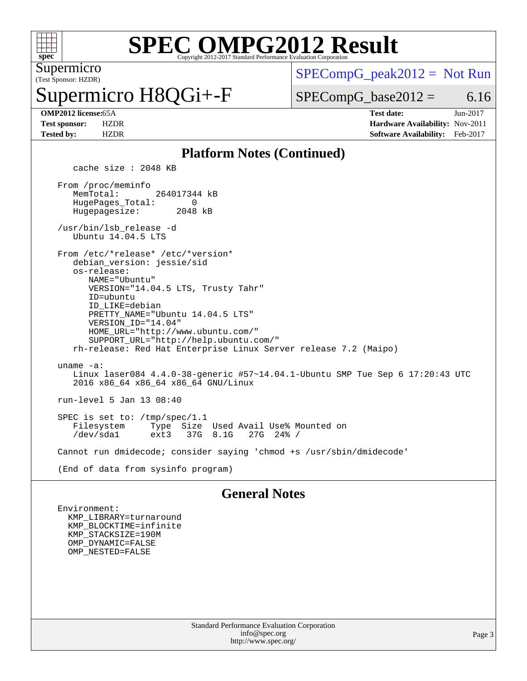

#### **[SPEC OMPG2012 Result](http://www.spec.org/auto/omp2012/Docs/result-fields.html#SPECOMPG2012Result)** Copyright 2012-2017 Standard Performance Evaluation Corporation

(Test Sponsor: HZDR) Supermicro

# permicro H8QGi+-F

 $SPECompG_peak2012 = Not Run$  $SPECompG_peak2012 = Not Run$ 

 $SPECompG_base2012 = 6.16$  $SPECompG_base2012 = 6.16$ 

**[OMP2012 license:](http://www.spec.org/auto/omp2012/Docs/result-fields.html#OMP2012license)**65A **[Test date:](http://www.spec.org/auto/omp2012/Docs/result-fields.html#Testdate)** Jun-2017 **[Test sponsor:](http://www.spec.org/auto/omp2012/Docs/result-fields.html#Testsponsor)** HZDR **[Hardware Availability:](http://www.spec.org/auto/omp2012/Docs/result-fields.html#HardwareAvailability)** Nov-2011 **[Tested by:](http://www.spec.org/auto/omp2012/Docs/result-fields.html#Testedby)** HZDR **[Software Availability:](http://www.spec.org/auto/omp2012/Docs/result-fields.html#SoftwareAvailability)** Feb-2017

#### **[Platform Notes \(Continued\)](http://www.spec.org/auto/omp2012/Docs/result-fields.html#PlatformNotes)**

cache size : 2048 KB

 From /proc/meminfo MemTotal: 264017344 kB HugePages\_Total: 0<br>Hugepagesize: 2048 kB Hugepagesize:

 /usr/bin/lsb\_release -d Ubuntu 14.04.5 LTS

From /etc/\*release\* /etc/\*version\*

 debian\_version: jessie/sid os-release: NAME="Ubuntu" VERSION="14.04.5 LTS, Trusty Tahr" ID=ubuntu ID\_LIKE=debian PRETTY\_NAME="Ubuntu 14.04.5 LTS"

 VERSION\_ID="14.04" HOME\_URL="<http://www.ubuntu.com/"> SUPPORT\_URL="<http://help.ubuntu.com/"> rh-release: Red Hat Enterprise Linux Server release 7.2 (Maipo)

 uname -a: Linux laser084 4.4.0-38-generic #57~14.04.1-Ubuntu SMP Tue Sep 6 17:20:43 UTC 2016 x86\_64 x86\_64 x86\_64 GNU/Linux

run-level 5 Jan 13 08:40

SPEC is set to: /tmp/spec/1.1<br>Filesystem Type Size Filesystem Type Size Used Avail Use% Mounted on 37G 8.1G

Cannot run dmidecode; consider saying 'chmod +s /usr/sbin/dmidecode'

(End of data from sysinfo program)

#### **[General Notes](http://www.spec.org/auto/omp2012/Docs/result-fields.html#GeneralNotes)**

 Environment: KMP\_LIBRARY=turnaround KMP\_BLOCKTIME=infinite KMP\_STACKSIZE=190M OMP\_DYNAMIC=FALSE OMP\_NESTED=FALSE